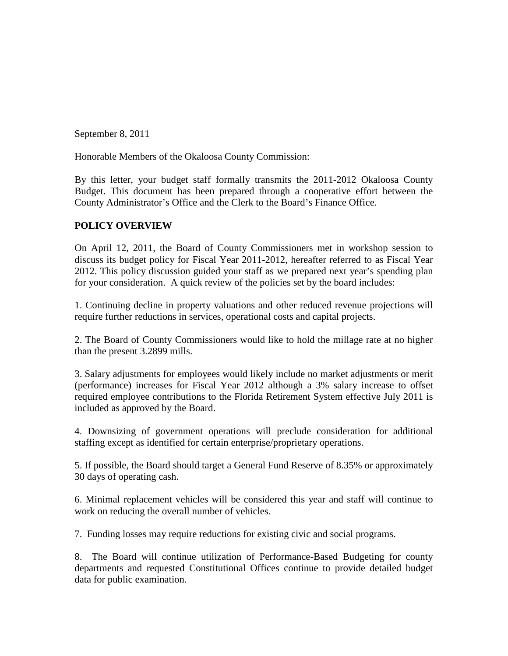September 8, 2011

Honorable Members of the Okaloosa County Commission:

By this letter, your budget staff formally transmits the 2011-2012 Okaloosa County Budget. This document has been prepared through a cooperative effort between the County Administrator's Office and the Clerk to the Board's Finance Office.

# **POLICY OVERVIEW**

On April 12, 2011, the Board of County Commissioners met in workshop session to discuss its budget policy for Fiscal Year 2011-2012, hereafter referred to as Fiscal Year 2012. This policy discussion guided your staff as we prepared next year's spending plan for your consideration. A quick review of the policies set by the board includes:

1. Continuing decline in property valuations and other reduced revenue projections will require further reductions in services, operational costs and capital projects.

2. The Board of County Commissioners would like to hold the millage rate at no higher than the present 3.2899 mills.

3. Salary adjustments for employees would likely include no market adjustments or merit (performance) increases for Fiscal Year 2012 although a 3% salary increase to offset required employee contributions to the Florida Retirement System effective July 2011 is included as approved by the Board.

4. Downsizing of government operations will preclude consideration for additional staffing except as identified for certain enterprise/proprietary operations.

5. If possible, the Board should target a General Fund Reserve of 8.35% or approximately 30 days of operating cash.

6. Minimal replacement vehicles will be considered this year and staff will continue to work on reducing the overall number of vehicles.

7. Funding losses may require reductions for existing civic and social programs.

8. The Board will continue utilization of Performance-Based Budgeting for county departments and requested Constitutional Offices continue to provide detailed budget data for public examination.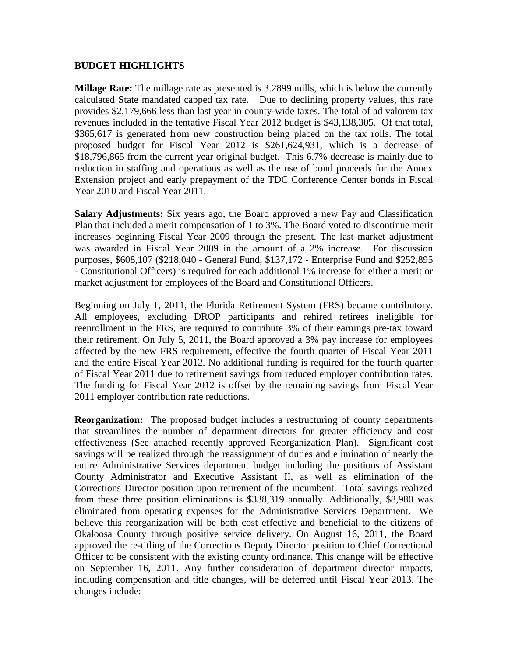## **BUDGET HIGHLIGHTS**

**Millage Rate:** The millage rate as presented is 3.2899 mills, which is below the currently calculated State mandated capped tax rate. Due to declining property values, this rate provides \$2,179,666 less than last year in county-wide taxes. The total of ad valorem tax revenues included in the tentative Fiscal Year 2012 budget is \$43,138,305. Of that total, \$365,617 is generated from new construction being placed on the tax rolls. The total proposed budget for Fiscal Year 2012 is \$261,624,931, which is a decrease of \$18,796,865 from the current year original budget. This 6.7% decrease is mainly due to reduction in staffing and operations as well as the use of bond proceeds for the Annex Extension project and early prepayment of the TDC Conference Center bonds in Fiscal Year 2010 and Fiscal Year 2011.

**Salary Adjustments:** Six years ago, the Board approved a new Pay and Classification Plan that included a merit compensation of 1 to 3%. The Board voted to discontinue merit increases beginning Fiscal Year 2009 through the present. The last market adjustment was awarded in Fiscal Year 2009 in the amount of a 2% increase. For discussion purposes, \$608,107 (\$218,040 - General Fund, \$137,172 - Enterprise Fund and \$252,895 - Constitutional Officers) is required for each additional 1% increase for either a merit or market adjustment for employees of the Board and Constitutional Officers.

Beginning on July 1, 2011, the Florida Retirement System (FRS) became contributory. All employees, excluding DROP participants and rehired retirees ineligible for reenrollment in the FRS, are required to contribute 3% of their earnings pre-tax toward their retirement. On July 5, 2011, the Board approved a 3% pay increase for employees affected by the new FRS requirement, effective the fourth quarter of Fiscal Year 2011 and the entire Fiscal Year 2012. No additional funding is required for the fourth quarter of Fiscal Year 2011 due to retirement savings from reduced employer contribution rates. The funding for Fiscal Year 2012 is offset by the remaining savings from Fiscal Year 2011 employer contribution rate reductions.

**Reorganization:** The proposed budget includes a restructuring of county departments that streamlines the number of department directors for greater efficiency and cost effectiveness (See attached recently approved Reorganization Plan). Significant cost savings will be realized through the reassignment of duties and elimination of nearly the entire Administrative Services department budget including the positions of Assistant County Administrator and Executive Assistant II, as well as elimination of the Corrections Director position upon retirement of the incumbent. Total savings realized from these three position eliminations is \$338,319 annually. Additionally, \$8,980 was eliminated from operating expenses for the Administrative Services Department. We believe this reorganization will be both cost effective and beneficial to the citizens of Okaloosa County through positive service delivery. On August 16, 2011, the Board approved the re-titling of the Corrections Deputy Director position to Chief Correctional Officer to be consistent with the existing county ordinance. This change will be effective on September 16, 2011. Any further consideration of department director impacts, including compensation and title changes, will be deferred until Fiscal Year 2013. The changes include: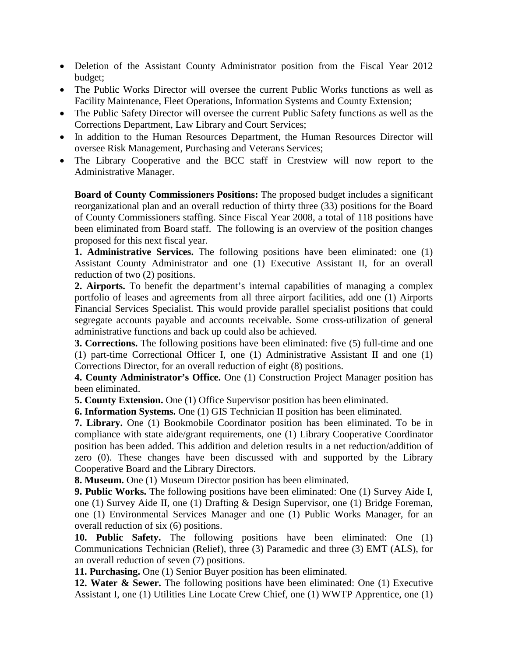- Deletion of the Assistant County Administrator position from the Fiscal Year 2012 budget;
- The Public Works Director will oversee the current Public Works functions as well as Facility Maintenance, Fleet Operations, Information Systems and County Extension;
- The Public Safety Director will oversee the current Public Safety functions as well as the Corrections Department, Law Library and Court Services;
- In addition to the Human Resources Department, the Human Resources Director will oversee Risk Management, Purchasing and Veterans Services;
- The Library Cooperative and the BCC staff in Crestview will now report to the Administrative Manager.

**Board of County Commissioners Positions:** The proposed budget includes a significant reorganizational plan and an overall reduction of thirty three (33) positions for the Board of County Commissioners staffing. Since Fiscal Year 2008, a total of 118 positions have been eliminated from Board staff. The following is an overview of the position changes proposed for this next fiscal year.

**1. Administrative Services.** The following positions have been eliminated: one (1) Assistant County Administrator and one (1) Executive Assistant II, for an overall reduction of two (2) positions.

**2. Airports.** To benefit the department's internal capabilities of managing a complex portfolio of leases and agreements from all three airport facilities, add one (1) Airports Financial Services Specialist. This would provide parallel specialist positions that could segregate accounts payable and accounts receivable. Some cross-utilization of general administrative functions and back up could also be achieved.

**3. Corrections.** The following positions have been eliminated: five (5) full-time and one (1) part-time Correctional Officer I, one (1) Administrative Assistant II and one (1) Corrections Director, for an overall reduction of eight (8) positions.

**4. County Administrator's Office.** One (1) Construction Project Manager position has been eliminated.

**5. County Extension.** One (1) Office Supervisor position has been eliminated.

**6. Information Systems.** One (1) GIS Technician II position has been eliminated.

**7. Library.** One (1) Bookmobile Coordinator position has been eliminated. To be in compliance with state aide/grant requirements, one (1) Library Cooperative Coordinator position has been added. This addition and deletion results in a net reduction/addition of zero (0). These changes have been discussed with and supported by the Library Cooperative Board and the Library Directors.

**8. Museum.** One (1) Museum Director position has been eliminated.

**9. Public Works.** The following positions have been eliminated: One (1) Survey Aide I, one (1) Survey Aide II, one (1) Drafting & Design Supervisor, one (1) Bridge Foreman, one (1) Environmental Services Manager and one (1) Public Works Manager, for an overall reduction of six (6) positions.

**10. Public Safety.** The following positions have been eliminated: One (1) Communications Technician (Relief), three (3) Paramedic and three (3) EMT (ALS), for an overall reduction of seven (7) positions.

**11. Purchasing.** One (1) Senior Buyer position has been eliminated.

**12. Water & Sewer.** The following positions have been eliminated: One (1) Executive Assistant I, one (1) Utilities Line Locate Crew Chief, one (1) WWTP Apprentice, one (1)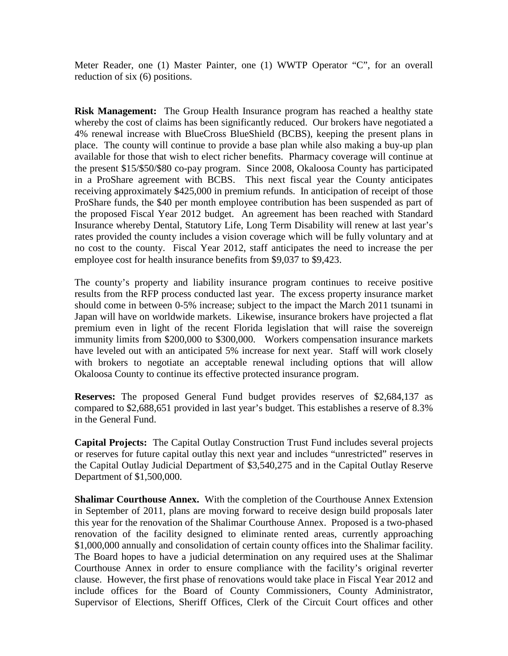Meter Reader, one (1) Master Painter, one (1) WWTP Operator "C", for an overall reduction of six (6) positions.

**Risk Management:** The Group Health Insurance program has reached a healthy state whereby the cost of claims has been significantly reduced. Our brokers have negotiated a 4% renewal increase with BlueCross BlueShield (BCBS), keeping the present plans in place. The county will continue to provide a base plan while also making a buy-up plan available for those that wish to elect richer benefits. Pharmacy coverage will continue at the present \$15/\$50/\$80 co-pay program. Since 2008, Okaloosa County has participated in a ProShare agreement with BCBS. This next fiscal year the County anticipates receiving approximately \$425,000 in premium refunds. In anticipation of receipt of those ProShare funds, the \$40 per month employee contribution has been suspended as part of the proposed Fiscal Year 2012 budget. An agreement has been reached with Standard Insurance whereby Dental, Statutory Life, Long Term Disability will renew at last year's rates provided the county includes a vision coverage which will be fully voluntary and at no cost to the county. Fiscal Year 2012, staff anticipates the need to increase the per employee cost for health insurance benefits from \$9,037 to \$9,423.

The county's property and liability insurance program continues to receive positive results from the RFP process conducted last year. The excess property insurance market should come in between 0-5% increase; subject to the impact the March 2011 tsunami in Japan will have on worldwide markets. Likewise, insurance brokers have projected a flat premium even in light of the recent Florida legislation that will raise the sovereign immunity limits from \$200,000 to \$300,000. Workers compensation insurance markets have leveled out with an anticipated 5% increase for next year. Staff will work closely with brokers to negotiate an acceptable renewal including options that will allow Okaloosa County to continue its effective protected insurance program.

**Reserves:** The proposed General Fund budget provides reserves of \$2,684,137 as compared to \$2,688,651 provided in last year's budget. This establishes a reserve of 8.3% in the General Fund.

**Capital Projects:** The Capital Outlay Construction Trust Fund includes several projects or reserves for future capital outlay this next year and includes "unrestricted" reserves in the Capital Outlay Judicial Department of \$3,540,275 and in the Capital Outlay Reserve Department of \$1,500,000.

**Shalimar Courthouse Annex.** With the completion of the Courthouse Annex Extension in September of 2011, plans are moving forward to receive design build proposals later this year for the renovation of the Shalimar Courthouse Annex. Proposed is a two-phased renovation of the facility designed to eliminate rented areas, currently approaching \$1,000,000 annually and consolidation of certain county offices into the Shalimar facility. The Board hopes to have a judicial determination on any required uses at the Shalimar Courthouse Annex in order to ensure compliance with the facility's original reverter clause. However, the first phase of renovations would take place in Fiscal Year 2012 and include offices for the Board of County Commissioners, County Administrator, Supervisor of Elections, Sheriff Offices, Clerk of the Circuit Court offices and other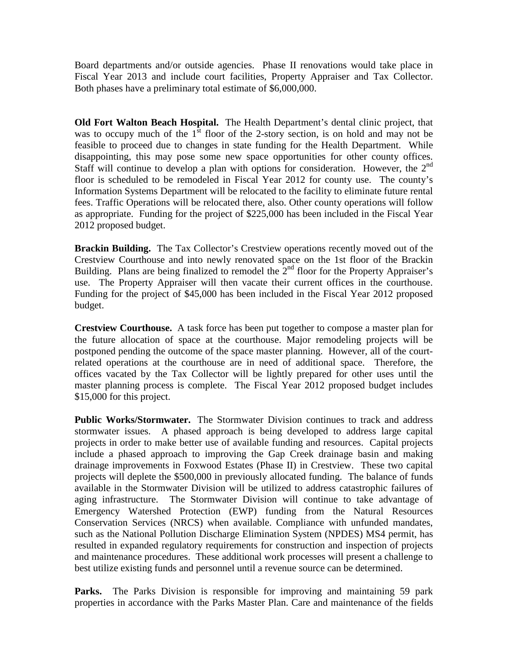Board departments and/or outside agencies. Phase II renovations would take place in Fiscal Year 2013 and include court facilities, Property Appraiser and Tax Collector. Both phases have a preliminary total estimate of \$6,000,000.

**Old Fort Walton Beach Hospital.** The Health Department's dental clinic project, that was to occupy much of the  $1<sup>st</sup>$  floor of the 2-story section, is on hold and may not be feasible to proceed due to changes in state funding for the Health Department. While disappointing, this may pose some new space opportunities for other county offices. Staff will continue to develop a plan with options for consideration. However, the  $2<sup>nd</sup>$ floor is scheduled to be remodeled in Fiscal Year 2012 for county use. The county's Information Systems Department will be relocated to the facility to eliminate future rental fees. Traffic Operations will be relocated there, also. Other county operations will follow as appropriate. Funding for the project of \$225,000 has been included in the Fiscal Year 2012 proposed budget.

**Brackin Building.** The Tax Collector's Crestview operations recently moved out of the Crestview Courthouse and into newly renovated space on the 1st floor of the Brackin Building. Plans are being finalized to remodel the  $2<sup>nd</sup>$  floor for the Property Appraiser's use. The Property Appraiser will then vacate their current offices in the courthouse. Funding for the project of \$45,000 has been included in the Fiscal Year 2012 proposed budget.

**Crestview Courthouse.** A task force has been put together to compose a master plan for the future allocation of space at the courthouse. Major remodeling projects will be postponed pending the outcome of the space master planning. However, all of the courtrelated operations at the courthouse are in need of additional space. Therefore, the offices vacated by the Tax Collector will be lightly prepared for other uses until the master planning process is complete. The Fiscal Year 2012 proposed budget includes \$15,000 for this project.

**Public Works/Stormwater.** The Stormwater Division continues to track and address stormwater issues. A phased approach is being developed to address large capital projects in order to make better use of available funding and resources. Capital projects include a phased approach to improving the Gap Creek drainage basin and making drainage improvements in Foxwood Estates (Phase II) in Crestview. These two capital projects will deplete the \$500,000 in previously allocated funding. The balance of funds available in the Stormwater Division will be utilized to address catastrophic failures of aging infrastructure. The Stormwater Division will continue to take advantage of Emergency Watershed Protection (EWP) funding from the Natural Resources Conservation Services (NRCS) when available. Compliance with unfunded mandates, such as the National Pollution Discharge Elimination System (NPDES) MS4 permit, has resulted in expanded regulatory requirements for construction and inspection of projects and maintenance procedures. These additional work processes will present a challenge to best utilize existing funds and personnel until a revenue source can be determined.

Parks. The Parks Division is responsible for improving and maintaining 59 park properties in accordance with the Parks Master Plan. Care and maintenance of the fields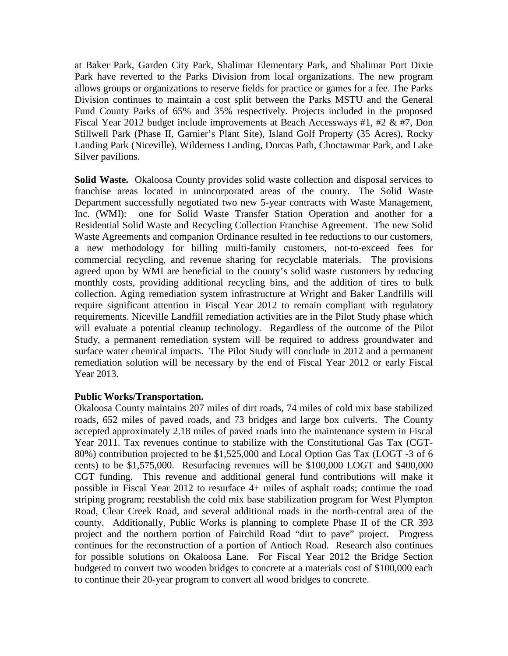at Baker Park, Garden City Park, Shalimar Elementary Park, and Shalimar Port Dixie Park have reverted to the Parks Division from local organizations. The new program allows groups or organizations to reserve fields for practice or games for a fee. The Parks Division continues to maintain a cost split between the Parks MSTU and the General Fund County Parks of 65% and 35% respectively. Projects included in the proposed Fiscal Year 2012 budget include improvements at Beach Accessways #1, #2 & #7, Don Stillwell Park (Phase II, Garnier's Plant Site), Island Golf Property (35 Acres), Rocky Landing Park (Niceville), Wilderness Landing, Dorcas Path, Choctawmar Park, and Lake Silver pavilions.

**Solid Waste.** Okaloosa County provides solid waste collection and disposal services to franchise areas located in unincorporated areas of the county. The Solid Waste Department successfully negotiated two new 5-year contracts with Waste Management, Inc. (WMI): one for Solid Waste Transfer Station Operation and another for a Residential Solid Waste and Recycling Collection Franchise Agreement. The new Solid Waste Agreements and companion Ordinance resulted in fee reductions to our customers, a new methodology for billing multi-family customers, not-to-exceed fees for commercial recycling, and revenue sharing for recyclable materials. The provisions agreed upon by WMI are beneficial to the county's solid waste customers by reducing monthly costs, providing additional recycling bins, and the addition of tires to bulk collection. Aging remediation system infrastructure at Wright and Baker Landfills will require significant attention in Fiscal Year 2012 to remain compliant with regulatory requirements. Niceville Landfill remediation activities are in the Pilot Study phase which will evaluate a potential cleanup technology. Regardless of the outcome of the Pilot Study, a permanent remediation system will be required to address groundwater and surface water chemical impacts. The Pilot Study will conclude in 2012 and a permanent remediation solution will be necessary by the end of Fiscal Year 2012 or early Fiscal Year 2013.

## **Public Works/Transportation.**

Okaloosa County maintains 207 miles of dirt roads, 74 miles of cold mix base stabilized roads, 652 miles of paved roads, and 73 bridges and large box culverts. The County accepted approximately 2.18 miles of paved roads into the maintenance system in Fiscal Year 2011. Tax revenues continue to stabilize with the Constitutional Gas Tax (CGT-80%) contribution projected to be \$1,525,000 and Local Option Gas Tax (LOGT -3 of 6 cents) to be \$1,575,000. Resurfacing revenues will be \$100,000 LOGT and \$400,000 CGT funding. This revenue and additional general fund contributions will make it possible in Fiscal Year 2012 to resurface 4+ miles of asphalt roads; continue the road striping program; reestablish the cold mix base stabilization program for West Plympton Road, Clear Creek Road, and several additional roads in the north-central area of the county. Additionally, Public Works is planning to complete Phase II of the CR 393 project and the northern portion of Fairchild Road "dirt to pave" project. Progress continues for the reconstruction of a portion of Antioch Road. Research also continues for possible solutions on Okaloosa Lane. For Fiscal Year 2012 the Bridge Section budgeted to convert two wooden bridges to concrete at a materials cost of \$100,000 each to continue their 20-year program to convert all wood bridges to concrete.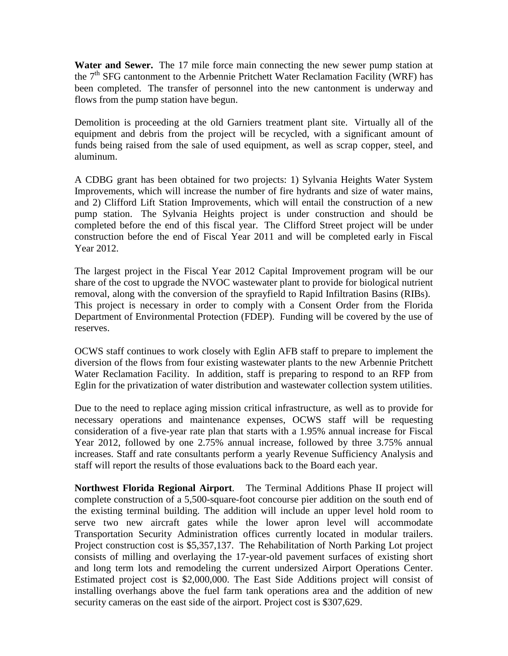**Water and Sewer.** The 17 mile force main connecting the new sewer pump station at the  $7<sup>th</sup> SFG$  cantonment to the Arbennie Pritchett Water Reclamation Facility (WRF) has been completed. The transfer of personnel into the new cantonment is underway and flows from the pump station have begun.

Demolition is proceeding at the old Garniers treatment plant site. Virtually all of the equipment and debris from the project will be recycled, with a significant amount of funds being raised from the sale of used equipment, as well as scrap copper, steel, and aluminum.

A CDBG grant has been obtained for two projects: 1) Sylvania Heights Water System Improvements, which will increase the number of fire hydrants and size of water mains, and 2) Clifford Lift Station Improvements, which will entail the construction of a new pump station. The Sylvania Heights project is under construction and should be completed before the end of this fiscal year. The Clifford Street project will be under construction before the end of Fiscal Year 2011 and will be completed early in Fiscal Year 2012.

The largest project in the Fiscal Year 2012 Capital Improvement program will be our share of the cost to upgrade the NVOC wastewater plant to provide for biological nutrient removal, along with the conversion of the sprayfield to Rapid Infiltration Basins (RIBs). This project is necessary in order to comply with a Consent Order from the Florida Department of Environmental Protection (FDEP). Funding will be covered by the use of reserves.

OCWS staff continues to work closely with Eglin AFB staff to prepare to implement the diversion of the flows from four existing wastewater plants to the new Arbennie Pritchett Water Reclamation Facility. In addition, staff is preparing to respond to an RFP from Eglin for the privatization of water distribution and wastewater collection system utilities.

Due to the need to replace aging mission critical infrastructure, as well as to provide for necessary operations and maintenance expenses, OCWS staff will be requesting consideration of a five-year rate plan that starts with a 1.95% annual increase for Fiscal Year 2012, followed by one 2.75% annual increase, followed by three 3.75% annual increases. Staff and rate consultants perform a yearly Revenue Sufficiency Analysis and staff will report the results of those evaluations back to the Board each year.

**Northwest Florida Regional Airport**. The Terminal Additions Phase II project will complete construction of a 5,500-square-foot concourse pier addition on the south end of the existing terminal building. The addition will include an upper level hold room to serve two new aircraft gates while the lower apron level will accommodate Transportation Security Administration offices currently located in modular trailers. Project construction cost is \$5,357,137. The Rehabilitation of North Parking Lot project consists of milling and overlaying the 17-year-old pavement surfaces of existing short and long term lots and remodeling the current undersized Airport Operations Center. Estimated project cost is \$2,000,000. The East Side Additions project will consist of installing overhangs above the fuel farm tank operations area and the addition of new security cameras on the east side of the airport. Project cost is \$307,629.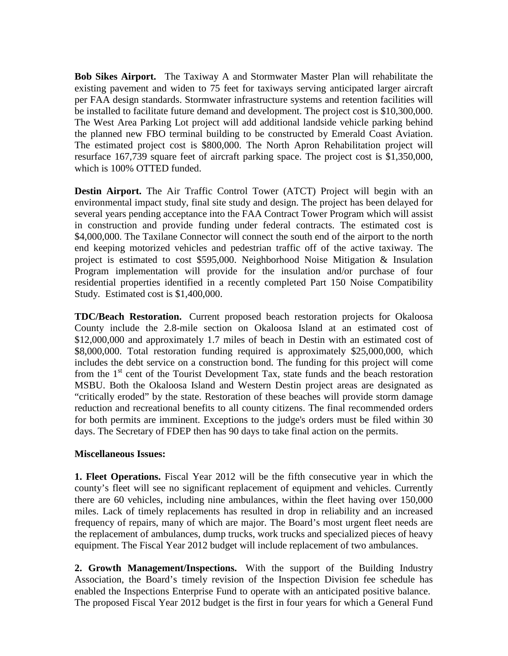**Bob Sikes Airport.** The Taxiway A and Stormwater Master Plan will rehabilitate the existing pavement and widen to 75 feet for taxiways serving anticipated larger aircraft per FAA design standards. Stormwater infrastructure systems and retention facilities will be installed to facilitate future demand and development. The project cost is \$10,300,000. The West Area Parking Lot project will add additional landside vehicle parking behind the planned new FBO terminal building to be constructed by Emerald Coast Aviation. The estimated project cost is \$800,000. The North Apron Rehabilitation project will resurface 167,739 square feet of aircraft parking space. The project cost is \$1,350,000, which is 100% OTTED funded.

**Destin Airport.** The Air Traffic Control Tower (ATCT) Project will begin with an environmental impact study, final site study and design. The project has been delayed for several years pending acceptance into the FAA Contract Tower Program which will assist in construction and provide funding under federal contracts. The estimated cost is \$4,000,000. The Taxilane Connector will connect the south end of the airport to the north end keeping motorized vehicles and pedestrian traffic off of the active taxiway. The project is estimated to cost \$595,000. Neighborhood Noise Mitigation & Insulation Program implementation will provide for the insulation and/or purchase of four residential properties identified in a recently completed Part 150 Noise Compatibility Study. Estimated cost is \$1,400,000.

**TDC/Beach Restoration.** Current proposed beach restoration projects for Okaloosa County include the 2.8-mile section on Okaloosa Island at an estimated cost of \$12,000,000 and approximately 1.7 miles of beach in Destin with an estimated cost of \$8,000,000. Total restoration funding required is approximately \$25,000,000, which includes the debt service on a construction bond. The funding for this project will come from the  $1<sup>st</sup>$  cent of the Tourist Development Tax, state funds and the beach restoration MSBU. Both the Okaloosa Island and Western Destin project areas are designated as "critically eroded" by the state. Restoration of these beaches will provide storm damage reduction and recreational benefits to all county citizens. The final recommended orders for both permits are imminent. Exceptions to the judge's orders must be filed within 30 days. The Secretary of FDEP then has 90 days to take final action on the permits.

## **Miscellaneous Issues:**

**1. Fleet Operations.** Fiscal Year 2012 will be the fifth consecutive year in which the county's fleet will see no significant replacement of equipment and vehicles. Currently there are 60 vehicles, including nine ambulances, within the fleet having over 150,000 miles. Lack of timely replacements has resulted in drop in reliability and an increased frequency of repairs, many of which are major. The Board's most urgent fleet needs are the replacement of ambulances, dump trucks, work trucks and specialized pieces of heavy equipment. The Fiscal Year 2012 budget will include replacement of two ambulances.

**2. Growth Management/Inspections.** With the support of the Building Industry Association, the Board's timely revision of the Inspection Division fee schedule has enabled the Inspections Enterprise Fund to operate with an anticipated positive balance. The proposed Fiscal Year 2012 budget is the first in four years for which a General Fund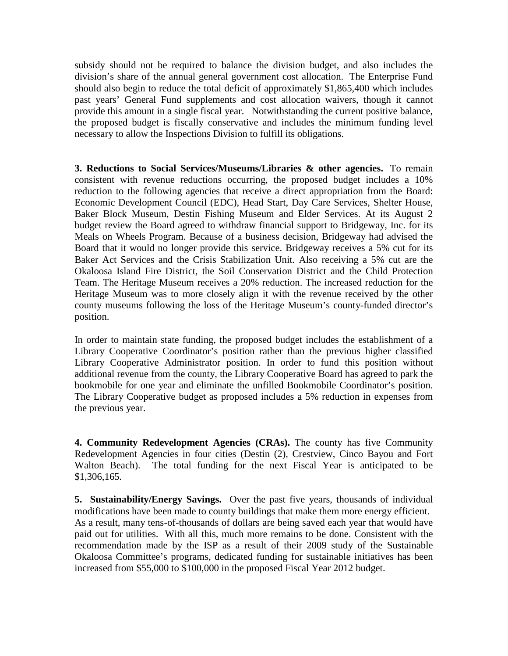subsidy should not be required to balance the division budget, and also includes the division's share of the annual general government cost allocation. The Enterprise Fund should also begin to reduce the total deficit of approximately \$1,865,400 which includes past years' General Fund supplements and cost allocation waivers, though it cannot provide this amount in a single fiscal year. Notwithstanding the current positive balance, the proposed budget is fiscally conservative and includes the minimum funding level necessary to allow the Inspections Division to fulfill its obligations.

**3. Reductions to Social Services/Museums/Libraries & other agencies.** To remain consistent with revenue reductions occurring, the proposed budget includes a 10% reduction to the following agencies that receive a direct appropriation from the Board: Economic Development Council (EDC), Head Start, Day Care Services, Shelter House, Baker Block Museum, Destin Fishing Museum and Elder Services. At its August 2 budget review the Board agreed to withdraw financial support to Bridgeway, Inc. for its Meals on Wheels Program. Because of a business decision, Bridgeway had advised the Board that it would no longer provide this service. Bridgeway receives a 5% cut for its Baker Act Services and the Crisis Stabilization Unit. Also receiving a 5% cut are the Okaloosa Island Fire District, the Soil Conservation District and the Child Protection Team. The Heritage Museum receives a 20% reduction. The increased reduction for the Heritage Museum was to more closely align it with the revenue received by the other county museums following the loss of the Heritage Museum's county-funded director's position.

In order to maintain state funding, the proposed budget includes the establishment of a Library Cooperative Coordinator's position rather than the previous higher classified Library Cooperative Administrator position. In order to fund this position without additional revenue from the county, the Library Cooperative Board has agreed to park the bookmobile for one year and eliminate the unfilled Bookmobile Coordinator's position. The Library Cooperative budget as proposed includes a 5% reduction in expenses from the previous year.

**4. Community Redevelopment Agencies (CRAs).** The county has five Community Redevelopment Agencies in four cities (Destin (2), Crestview, Cinco Bayou and Fort Walton Beach). The total funding for the next Fiscal Year is anticipated to be \$1,306,165.

**5. Sustainability/Energy Savings.** Over the past five years, thousands of individual modifications have been made to county buildings that make them more energy efficient. As a result, many tens-of-thousands of dollars are being saved each year that would have paid out for utilities. With all this, much more remains to be done. Consistent with the recommendation made by the ISP as a result of their 2009 study of the Sustainable Okaloosa Committee's programs, dedicated funding for sustainable initiatives has been increased from \$55,000 to \$100,000 in the proposed Fiscal Year 2012 budget.